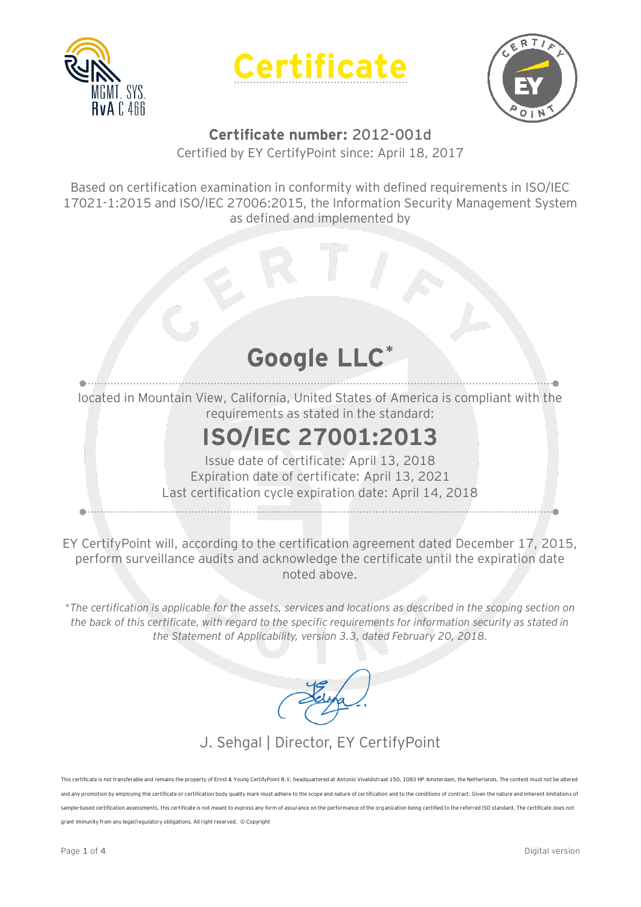





## **Certificate number: 2012-001d**

Certified by EY CertifyPoint since: April 18, 2017

Based on certification examination in conformity with defined requirements in ISO/IEC 17021-1:2015 and ISO/IEC 27006:2015, the Information Security Management System as defined and implemented by

## **Google LLC\***

located in Mountain View, California, United States of America is compliant with the requirements as stated in the standard:

## **ISO/IEC 27001:2013**

Issue date of certificate: April 13, 2018 Expiration date of certificate: April 13, 2021 Last certification cycle expiration date: April 14, 2018

EY CertifyPoint will, according to the certification agreement dated December 17, 2015, perform surveillance audits and acknowledge the certificate until the expiration date noted above.

*\*The certification is applicable for the assets, services and locations as described in the scoping section on the back of this certificate, with regard to the specific requirements for information security as stated in the Statement of Applicability, version 3.3, dated February 20, 2018.*

### J. Sehgal | Director, EY CertifyPoint

This certificate is not transferable and remains the property of Ernst & Young CertifyPoint B.V, headquartered at Antonio Vivaldistraat 150, 1083 HP Amsterdam, the Netherlands. The content must not be altere and any promotion by employing this certification por certification body quality mark must adhere to the scope and nature of certification and to the conditions of contract. Given the nature and inherent limitations of con sample-based certification assessments, this certificate is not meant to express any form of assurance on the performance of the organization being certified to the referred ISO standard. The certificate does not grant immunity from any legal/regulatory obligations. All right reserved. © Copyright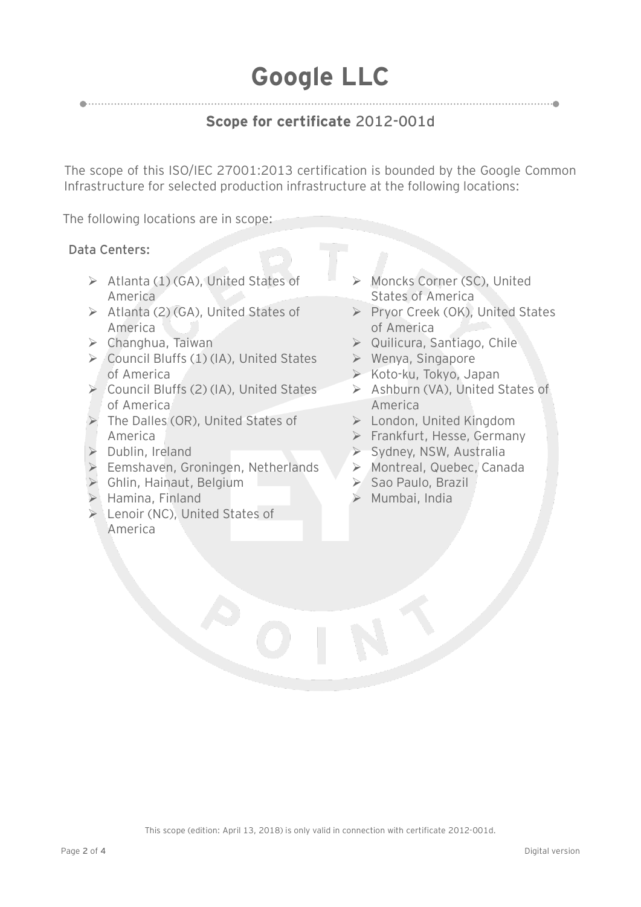## **Google LLC**

### **Scope for certificate 2012-001d**

The scope of this ISO/IEC 27001:2013 certification is bounded by the Google Common Infrastructure for selected production infrastructure at the following locations:

The following locations are in scope:

#### **Data Centers:**

- $\triangleright$  Atlanta (1) (GA), United States of America
- $\triangleright$  Atlanta (2) (GA), United States of America
- Changhua, Taiwan
- $\triangleright$  Council Bluffs (1) (IA), United States of America
- $\triangleright$  Council Bluffs (2) (IA), United States of America
- The Dalles (OR), United States of America
- $\triangleright$  Dublin, Ireland
- Eemshaven, Groningen, Netherlands
- Ghlin, Hainaut, Belgium
- $\blacktriangleright$  Hamina, Finland
- ▶ Lenoir (NC), United States of America
- Moncks Corner (SC), United States of America
- Pryor Creek (OK), United States of America
- ▶ Quilicura, Santiago, Chile
- $\triangleright$  Wenya, Singapore
- ▶ Koto-ku, Tokyo, Japan
- ▶ Ashburn (VA), United States of America
- London, United Kingdom
- $\triangleright$  Frankfurt, Hesse, Germany
- ▶ Sydney, NSW, Australia
- > Montreal, Quebec, Canada
- $\triangleright$  Sao Paulo, Brazil
- $\triangleright$  Mumbai, India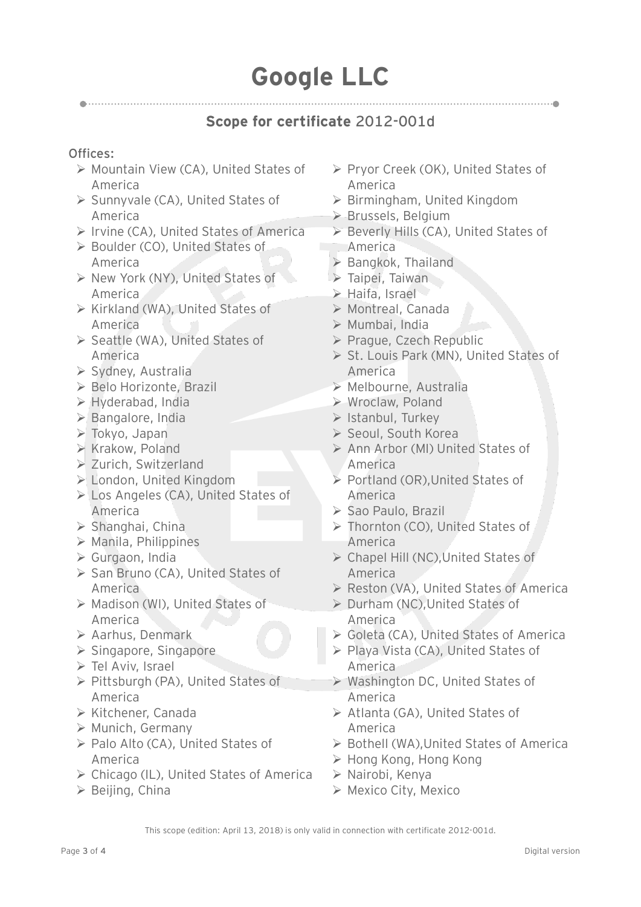# **Google LLC**

### **Scope for certificate 2012-001d**

#### **Offices:**

- ▶ Mountain View (CA), United States of America
- $\triangleright$  Sunnyvale (CA), United States of America
- $\triangleright$  Irvine (CA), United States of America
- ▶ Boulder (CO), United States of America
- ▶ New York (NY), United States of America
- $\triangleright$  Kirkland (WA), United States of America
- ▶ Seattle (WA), United States of America
- $\triangleright$  Sydney, Australia
- ▶ Belo Horizonte, Brazil
- Hyderabad, India
- Bangalore, India
- Tokyo, Japan
- $\triangleright$  Krakow, Poland
- ▶ Zurich, Switzerland
- London, United Kingdom
- Los Angeles (CA), United States of America
- $\triangleright$  Shanghai, China
- $\triangleright$  Manila, Philippines
- Gurgaon, India
- ▶ San Bruno (CA), United States of America
- > Madison (WI), United States of America
- Aarhus, Denmark
- $\triangleright$  Singapore, Singapore
- $\triangleright$  Tel Aviv, Israel
- $\triangleright$  Pittsburgh (PA), United States of America
- ▶ Kitchener, Canada
- $\triangleright$  Munich, Germany
- ▶ Palo Alto (CA), United States of America
- Chicago (IL), United States of America
- $\triangleright$  Beijing, China
- $\triangleright$  Pryor Creek (OK), United States of America
- Birmingham, United Kingdom
- ▶ Brussels, Belgium
- ▶ Beverly Hills (CA), United States of America
- $\triangleright$  Bangkok, Thailand
- $\triangleright$  Taipei, Taiwan
- Haifa, Israel
- Montreal, Canada
- $\triangleright$  Mumbai, India
- ▶ Prague, Czech Republic
- ▶ St. Louis Park (MN), United States of America
- Melbourne, Australia
- Wroclaw, Poland
- $\triangleright$  Istanbul, Turkey
- ▶ Seoul, South Korea
- ▶ Ann Arbor (MI) United States of America
- Portland (OR), United States of America
- ▶ Sao Paulo, Brazil
- Thornton (CO), United States of America
- Chapel Hill (NC),United States of America
- ▶ Reston (VA), United States of America
- ▶ Durham (NC), United States of America
- ▶ Goleta (CA), United States of America
- ▶ Playa Vista (CA), United States of America
- Washington DC, United States of America
- ▶ Atlanta (GA), United States of America
- ▶ Bothell (WA), United States of America
- Hong Kong, Hong Kong
- $\triangleright$  Nairobi, Kenya
- Mexico City, Mexico